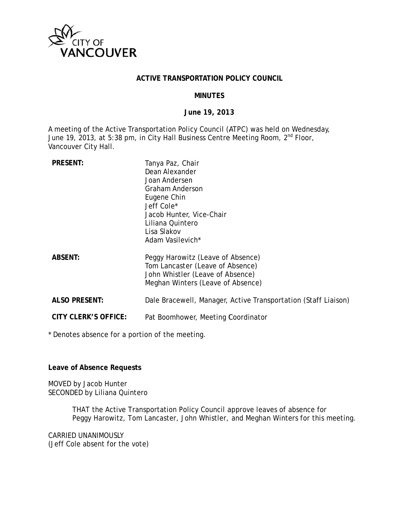

## **ACTIVE TRANSPORTATION POLICY COUNCIL**

#### **MINUTES**

#### **Ju une 19, 201 3**

A meeting of the Active Transportation Policy Council (ATPC) was held on Wednesday, June 19, 2013, at 5:38 pm, in City Hall Business Centre Meeting Room, 2<sup>nd</sup> Floor, Vancouver City Hall.

| <b>PRESENT:</b>      | Tanya Paz, Chair<br>Dean Alexander<br>Joan Andersen<br>Graham Anderson<br>Eugene Chin<br>Jeff Cole*<br>Jacob Hunter, Vice-Chair<br>Liliana Quintero<br>Lisa Slakov<br>Adam Vasilevich* |
|----------------------|----------------------------------------------------------------------------------------------------------------------------------------------------------------------------------------|
| <b>ABSENT:</b>       | Peggy Harowitz (Leave of Absence)<br>Tom Lancaster (Leave of Absence)<br>John Whistler (Leave of Absence)<br>Meghan Winters (Leave of Absence)                                         |
| <b>ALSO PRESENT:</b> | Dale Bracewell, Manager, Active Transportation (Staff Liaison)                                                                                                                         |
| CITY CLERK'S OFFICE: | Pat Boomhower, Meeting Coordinator                                                                                                                                                     |

\* Denotes absence for a portion of the meeting.

**Leave of f Absence R equests** 

MOVED by Jacob Hunter SECONDED by Liliana Quintero

> THAT the Active Transportation Policy Council approve leaves of absence for Peggy Harowitz, Tom Lancaster, John Whistler, and Meghan Winters for this meeting.

CARRIED UNANIMOUSLY (Jeff Cole absent for the vote)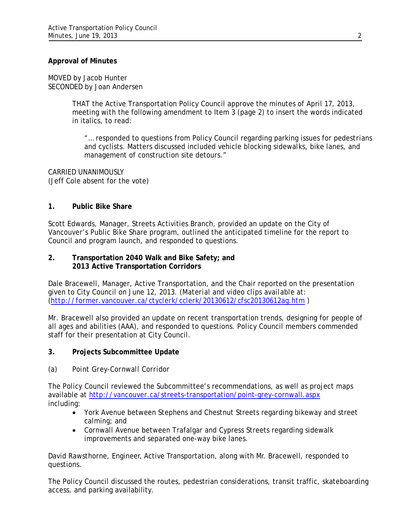## **Approval of Minutes**

MOVED by Jacob Hunter SECONDED by Joan Andersen

> THAT the Active Transportation Policy Council approve the minutes of April 17, 2013, meeting with the following amendment to Item 3 (page 2) to insert the words indicated in italics, to read:

"… responded to questions from Policy Council regarding parking issues for *pedestrians and* cyclists. Matters discussed included vehicle blocking *sidewalks*, bike lanes, and management of construction site detours."

CARRIED UNANIMOUSLY (Jeff Cole absent for the vote)

## **1. Public Bike Share**

Scott Edwards, Manager, Streets Activities Branch, provided an update on the City of Vancouver's Public Bike Share program, outlined the anticipated timeline for the report to Council and program launch, and responded to questions.

## **2. Transportation 2040 Walk and Bike Safety; and 2013 Active Transportation Corridors**

Dale Bracewell, Manager, Active Transportation, and the Chair reported on the presentation given to City Council on June 12, 2013. *(Material and video clips available at: (http://former.vancouver.ca/ctyclerk/cclerk/20130612/cfsc20130612ag.htm )* 

Mr. Bracewell also provided an update on recent transportation trends, designing for people of all ages and abilities (AAA), and responded to questions. Policy Council members commended staff for their presentation at City Council.

## **3. Projects Subcommittee Update**

## *(a) Point Grey-Cornwall Corridor*

The Policy Council reviewed the Subcommittee's recommendations, as well as project maps available at http://vancouver.ca/streets-transportation/point-grey-cornwall.aspx including:

- York Avenue between Stephens and Chestnut Streets regarding bikeway and street calming; and
- Cornwall Avenue between Trafalgar and Cypress Streets regarding sidewalk improvements and separated one-way bike lanes.

David Rawsthorne, Engineer, Active Transportation, along with Mr. Bracewell, responded to questions.

The Policy Council discussed the routes, pedestrian considerations, transit traffic, skateboarding access, and parking availability.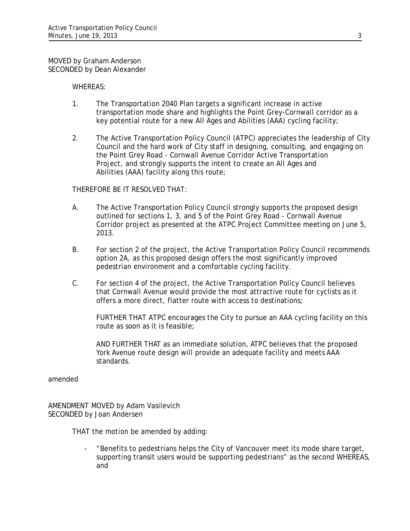#### MOVED by Graham Anderson SECONDED by Dean Alexander

## WHEREAS:

- 1. The Transportation 2040 Plan targets a significant increase in active transportation mode share and highlights the Point Grey-Cornwall corridor as a key potential route for a new All Ages and Abilities (AAA) cycling facility;
- 2. The Active Transportation Policy Council (ATPC) appreciates the leadership of City Council and the hard work of City staff in designing, consulting, and engaging on the Point Grey Road - Cornwall Avenue Corridor Active Transportation Project, and strongly supports the intent to create an All Ages and Abilities (AAA) facility along this route;

## THEREFORE BE IT RESOLVED THAT:

- A. The Active Transportation Policy Council strongly supports the proposed design outlined for sections 1, 3, and 5 of the Point Grey Road - Cornwall Avenue Corridor project as presented at the ATPC Project Committee meeting on June 5, 2013.
- B. For section 2 of the project, the Active Transportation Policy Council recommends option 2A, as this proposed design offers the most significantly improved pedestrian environment and a comfortable cycling facility.
- C. For section 4 of the project, the Active Transportation Policy Council believes that Cornwall Avenue would provide the most attractive route for cyclists as it offers a more direct, flatter route with access to destinations;

FURTHER THAT ATPC encourages the City to pursue an AAA cycling facility on this route as soon as it is feasible;

AND FURTHER THAT as an immediate solution, ATPC believes that the proposed York Avenue route design will provide an adequate facility and meets AAA standards.

#### amended

AMENDMENT MOVED by Adam Vasilevich SECONDED by Joan Andersen

THAT the motion be amended by adding:

- "Benefits to pedestrians helps the City of Vancouver meet its mode share target, supporting transit users would be supporting pedestrians" as the second WHEREAS, and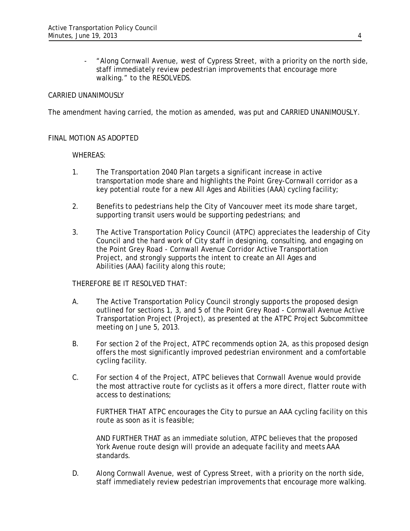- "Along Cornwall Avenue, west of Cypress Street, with a priority on the north side, staff immediately review pedestrian improvements that encourage more walking." to the RESOLVEDS.

## CARRIED UNANIMOUSLY

The amendment having carried, the motion as amended, was put and CARRIED UNANIMOUSLY.

#### FINAL MOTION AS ADOPTED

#### WHEREAS:

- 1. The Transportation 2040 Plan targets a significant increase in active transportation mode share and highlights the Point Grey-Cornwall corridor as a key potential route for a new All Ages and Abilities (AAA) cycling facility;
- 2. Benefits to pedestrians help the City of Vancouver meet its mode share target, supporting transit users would be supporting pedestrians; and
- 3. The Active Transportation Policy Council (ATPC) appreciates the leadership of City Council and the hard work of City staff in designing, consulting, and engaging on the Point Grey Road - Cornwall Avenue Corridor Active Transportation Project, and strongly supports the intent to create an All Ages and Abilities (AAA) facility along this route;

THEREFORE BE IT RESOLVED THAT:

- A. The Active Transportation Policy Council strongly supports the proposed design outlined for sections 1, 3, and 5 of the Point Grey Road - Cornwall Avenue Active Transportation Project (Project), as presented at the ATPC Project Subcommittee meeting on June 5, 2013.
- B. For section 2 of the Project, ATPC recommends option 2A, as this proposed design offers the most significantly improved pedestrian environment and a comfortable cycling facility.
- C. For section 4 of the Project, ATPC believes that Cornwall Avenue would provide the most attractive route for cyclists as it offers a more direct, flatter route with access to destinations;

FURTHER THAT ATPC encourages the City to pursue an AAA cycling facility on this route as soon as it is feasible;

AND FURTHER THAT as an immediate solution, ATPC believes that the proposed York Avenue route design will provide an adequate facility and meets AAA standards.

D. Along Cornwall Avenue, west of Cypress Street, with a priority on the north side, staff immediately review pedestrian improvements that encourage more walking.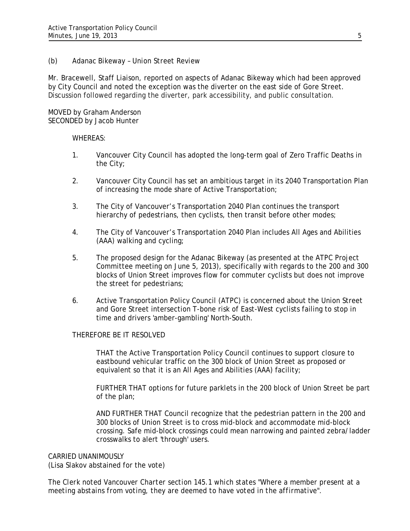## *(b) Adanac Bikeway – Union Street Review*

Mr. Bracewell, Staff Liaison, reported on aspects of Adanac Bikeway which had been approved by City Council and noted the exception was the diverter on the east side of Gore Street. Discussion followed regarding the diverter, park accessibility, and public consultation.

## MOVED by Graham Anderson SECONDED by Jacob Hunter

## WHEREAS:

- 1. Vancouver City Council has adopted the long-term goal of Zero Traffic Deaths in the City;
- 2. Vancouver City Council has set an ambitious target in its 2040 Transportation Plan of increasing the mode share of Active Transportation;
- 3. The City of Vancouver's Transportation 2040 Plan continues the transport hierarchy of pedestrians, then cyclists, then transit before other modes;
- 4. The City of Vancouver's Transportation 2040 Plan includes All Ages and Abilities (AAA) walking and cycling;
- 5. The proposed design for the Adanac Bikeway (as presented at the ATPC Project Committee meeting on June 5, 2013), specifically with regards to the 200 and 300 blocks of Union Street improves flow for commuter cyclists but does not improve the street for pedestrians;
- 6. Active Transportation Policy Council (ATPC) is concerned about the Union Street and Gore Street intersection T-bone risk of East-West cyclists failing to stop in time and drivers 'amber-gambling' North-South.

#### THEREFORE BE IT RESOLVED

THAT the Active Transportation Policy Council continues to support closure to eastbound vehicular traffic on the 300 block of Union Street as proposed or equivalent so that it is an All Ages and Abilities (AAA) facility;

FURTHER THAT options for future parklets in the 200 block of Union Street be part of the plan;

AND FURTHER THAT Council recognize that the pedestrian pattern in the 200 and 300 blocks of Union Street is to cross mid-block and accommodate mid-block crossing. Safe mid-block crossings could mean narrowing and painted zebra/ladder crosswalks to alert 'through' users.

#### CARRIED UNANIMOUSLY

(Lisa Slakov abstained for the vote)

*The Clerk noted Vancouver Charter section 145.1 which states "Where a member present at a meeting abstains from voting, they are deemed to have voted in the affirmative".*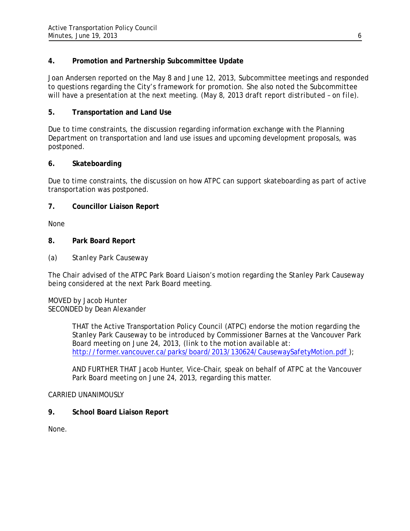# **4. Promotion and Partnership Subcommittee Update**

Joan Andersen reported on the May 8 and June 12, 2013, Subcommittee meetings and responded to questions regarding the City's framework for promotion. She also noted the Subcommittee will have a presentation at the next meeting. *(May 8, 2013 draft report distributed – on file).*

# **5. Transportation and Land Use**

Due to time constraints, the discussion regarding information exchange with the Planning Department on transportation and land use issues and upcoming development proposals, was postponed.

# **6. Skateboarding**

Due to time constraints, the discussion on how ATPC can support skateboarding as part of active transportation was postponed.

# **7. Councillor Liaison Report**

None

# **8. Park Board Report**

*(a) Stanley Park Causeway* 

The Chair advised of the ATPC Park Board Liaison's motion regarding the Stanley Park Causeway being considered at the next Park Board meeting.

## MOVED by Jacob Hunter SECONDED by Dean Alexander

THAT the Active Transportation Policy Council (ATPC) endorse the motion regarding the Stanley Park Causeway to be introduced by Commissioner Barnes at the Vancouver Park Board meeting on June 24, 2013, *(link to the motion available at:*  http://former.vancouver.ca/parks/board/2013/130624/CausewaySafetyMotion.pdf);

AND FURTHER THAT Jacob Hunter, Vice-Chair, speak on behalf of ATPC at the Vancouver Park Board meeting on June 24, 2013, regarding this matter.

## CARRIED UNANIMOUSLY

**9. School Board Liaison Report** 

None.